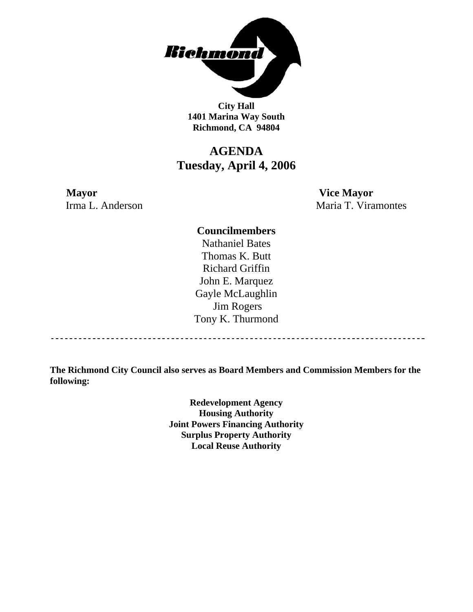

**City Hall 1401 Marina Way South Richmond, CA 94804** 

# **AGENDA Tuesday, April 4, 2006**

# **Mayor Vice Mayor**

Irma L. Anderson Maria T. Viramontes

### **Councilmembers**

Nathaniel Bates Thomas K. Butt Richard Griffin John E. Marquez Gayle McLaughlin Jim Rogers Tony K. Thurmond

------------------------------------

**The Richmond City Council also serves as Board Members and Commission Members for the following:** 

> **Redevelopment Agency Housing Authority Joint Powers Financing Authority Surplus Property Authority Local Reuse Authority**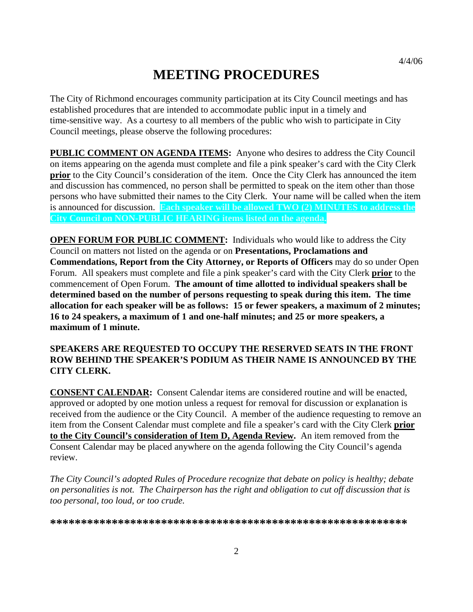# **MEETING PROCEDURES**

The City of Richmond encourages community participation at its City Council meetings and has established procedures that are intended to accommodate public input in a timely and time-sensitive way. As a courtesy to all members of the public who wish to participate in City Council meetings, please observe the following procedures:

**PUBLIC COMMENT ON AGENDA ITEMS:** Anyone who desires to address the City Council on items appearing on the agenda must complete and file a pink speaker's card with the City Clerk **prior** to the City Council's consideration of the item. Once the City Clerk has announced the item and discussion has commenced, no person shall be permitted to speak on the item other than those persons who have submitted their names to the City Clerk. Your name will be called when the item is announced for discussion. **Each speaker will be allowed TWO (2) MINUTES to address the City Council on NON-PUBLIC HEARING items listed on the agenda.** 

**OPEN FORUM FOR PUBLIC COMMENT:** Individuals who would like to address the City Council on matters not listed on the agenda or on **Presentations, Proclamations and Commendations, Report from the City Attorney, or Reports of Officers** may do so under Open Forum. All speakers must complete and file a pink speaker's card with the City Clerk **prior** to the commencement of Open Forum. **The amount of time allotted to individual speakers shall be determined based on the number of persons requesting to speak during this item. The time allocation for each speaker will be as follows: 15 or fewer speakers, a maximum of 2 minutes; 16 to 24 speakers, a maximum of 1 and one-half minutes; and 25 or more speakers, a maximum of 1 minute.** 

### **SPEAKERS ARE REQUESTED TO OCCUPY THE RESERVED SEATS IN THE FRONT ROW BEHIND THE SPEAKER'S PODIUM AS THEIR NAME IS ANNOUNCED BY THE CITY CLERK.**

**CONSENT CALENDAR:** Consent Calendar items are considered routine and will be enacted, approved or adopted by one motion unless a request for removal for discussion or explanation is received from the audience or the City Council. A member of the audience requesting to remove an item from the Consent Calendar must complete and file a speaker's card with the City Clerk **prior to the City Council's consideration of Item D, Agenda Review.** An item removed from the Consent Calendar may be placed anywhere on the agenda following the City Council's agenda review.

*The City Council's adopted Rules of Procedure recognize that debate on policy is healthy; debate on personalities is not. The Chairperson has the right and obligation to cut off discussion that is too personal, too loud, or too crude.* 

**\*\*\*\*\*\*\*\*\*\*\*\*\*\*\*\*\*\*\*\*\*\*\*\*\*\*\*\*\*\*\*\*\*\*\*\*\*\*\*\*\*\*\*\*\*\*\*\*\*\*\*\*\*\*\*\*\*\***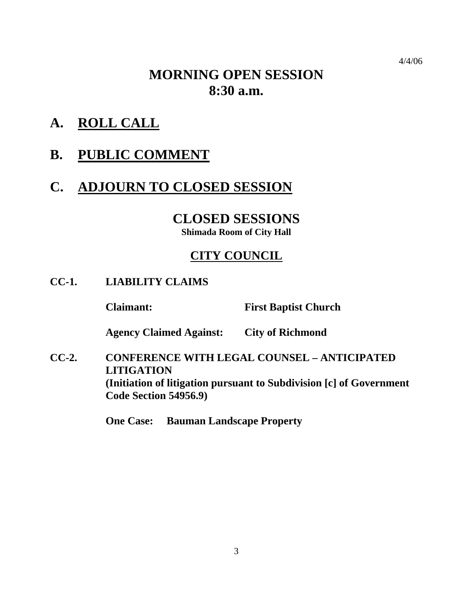# **MORNING OPEN SESSION 8:30 a.m.**

- **A. ROLL CALL**
- **B. PUBLIC COMMENT**

# **C. ADJOURN TO CLOSED SESSION**

# **CLOSED SESSIONS**

**Shimada Room of City Hall** 

# **CITY COUNCIL**

**CC-1. LIABILITY CLAIMS** 

 **Claimant: First Baptist Church** 

 **Agency Claimed Against: City of Richmond** 

**CC-2. CONFERENCE WITH LEGAL COUNSEL – ANTICIPATED LITIGATION (Initiation of litigation pursuant to Subdivision [c] of Government Code Section 54956.9)** 

 **One Case: Bauman Landscape Property**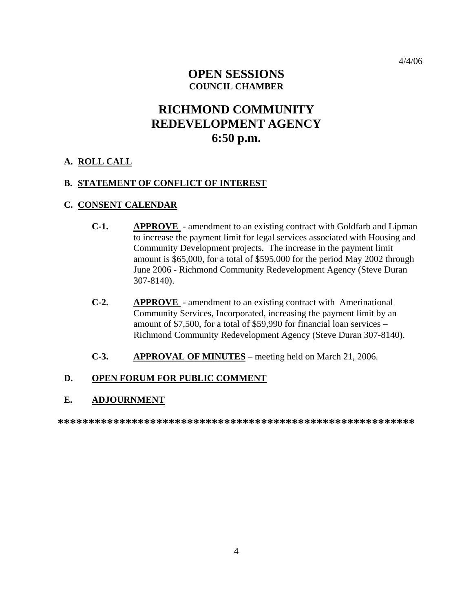## **OPEN SESSIONS COUNCIL CHAMBER**

# **RICHMOND COMMUNITY REDEVELOPMENT AGENCY 6:50 p.m.**

#### **A. ROLL CALL**

#### **B. STATEMENT OF CONFLICT OF INTEREST**

#### **C. CONSENT CALENDAR**

- **C-1. APPROVE**  amendment to an existing contract with Goldfarb and Lipman to increase the payment limit for legal services associated with Housing and Community Development projects. The increase in the payment limit amount is \$65,000, for a total of \$595,000 for the period May 2002 through June 2006 - Richmond Community Redevelopment Agency (Steve Duran 307-8140).
- **C-2. APPROVE**  amendment to an existing contract with Amerinational Community Services, Incorporated, increasing the payment limit by an amount of \$7,500, for a total of \$59,990 for financial loan services – Richmond Community Redevelopment Agency (Steve Duran 307-8140).
- **C-3. APPROVAL OF MINUTES** meeting held on March 21, 2006.

### **D. OPEN FORUM FOR PUBLIC COMMENT**

#### **E. ADJOURNMENT**

**\*\*\*\*\*\*\*\*\*\*\*\*\*\*\*\*\*\*\*\*\*\*\*\*\*\*\*\*\*\*\*\*\*\*\*\*\*\*\*\*\*\*\*\*\*\*\*\*\*\*\*\*\*\*\*\*\*\***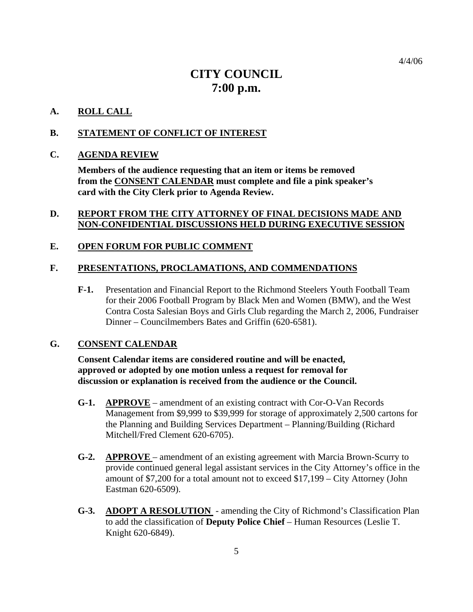# **CITY COUNCIL 7:00 p.m.**

#### **A. ROLL CALL**

#### **B. STATEMENT OF CONFLICT OF INTEREST**

#### **C. AGENDA REVIEW**

**Members of the audience requesting that an item or items be removed from the CONSENT CALENDAR must complete and file a pink speaker's card with the City Clerk prior to Agenda Review.** 

#### **D. REPORT FROM THE CITY ATTORNEY OF FINAL DECISIONS MADE AND NON-CONFIDENTIAL DISCUSSIONS HELD DURING EXECUTIVE SESSION**

#### **E. OPEN FORUM FOR PUBLIC COMMENT**

#### **F. PRESENTATIONS, PROCLAMATIONS, AND COMMENDATIONS**

**F-1.** Presentation and Financial Report to the Richmond Steelers Youth Football Team for their 2006 Football Program by Black Men and Women (BMW), and the West Contra Costa Salesian Boys and Girls Club regarding the March 2, 2006, Fundraiser Dinner – Councilmembers Bates and Griffin (620-6581).

#### **G. CONSENT CALENDAR**

 **Consent Calendar items are considered routine and will be enacted, approved or adopted by one motion unless a request for removal for discussion or explanation is received from the audience or the Council.** 

- **G-1. APPROVE** amendment of an existing contract with Cor-O-Van Records Management from \$9,999 to \$39,999 for storage of approximately 2,500 cartons for the Planning and Building Services Department – Planning/Building (Richard Mitchell/Fred Clement 620-6705).
- **G-2. APPROVE**  amendment of an existing agreement with Marcia Brown-Scurry to provide continued general legal assistant services in the City Attorney's office in the amount of \$7,200 for a total amount not to exceed \$17,199 – City Attorney (John Eastman 620-6509).
- **G-3. ADOPT A RESOLUTION**  amending the City of Richmond's Classification Plan to add the classification of **Deputy Police Chief** – Human Resources (Leslie T. Knight 620-6849).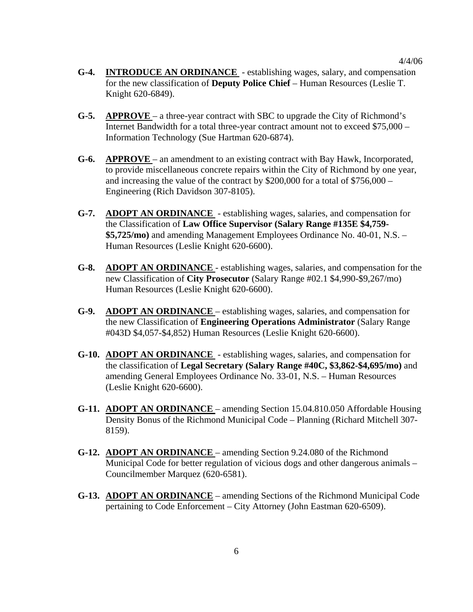- **G-4. INTRODUCE AN ORDINANCE**  establishing wages, salary, and compensation for the new classification of **Deputy Police Chief** – Human Resources (Leslie T. Knight 620-6849).
- **G-5. APPROVE**  a three-year contract with SBC to upgrade the City of Richmond's Internet Bandwidth for a total three-year contract amount not to exceed \$75,000 – Information Technology (Sue Hartman 620-6874).
- **G-6. APPROVE**  an amendment to an existing contract with Bay Hawk, Incorporated, to provide miscellaneous concrete repairs within the City of Richmond by one year, and increasing the value of the contract by \$200,000 for a total of \$756,000 – Engineering (Rich Davidson 307-8105).
- **G-7. ADOPT AN ORDINANCE**  establishing wages, salaries, and compensation for the Classification of **Law Office Supervisor (Salary Range #135E \$4,759- \$5,725/mo)** and amending Management Employees Ordinance No. 40-01, N.S. – Human Resources (Leslie Knight 620-6600).
- **G-8. ADOPT AN ORDINANCE**  establishing wages, salaries, and compensation for the new Classification of **City Prosecutor** (Salary Range #02.1 \$4,990-\$9,267/mo) Human Resources (Leslie Knight 620-6600).
- **G-9. ADOPT AN ORDINANCE**  establishing wages, salaries, and compensation for the new Classification of **Engineering Operations Administrator** (Salary Range #043D \$4,057-\$4,852) Human Resources (Leslie Knight 620-6600).
- **G-10. ADOPT AN ORDINANCE**  establishing wages, salaries, and compensation for the classification of **Legal Secretary (Salary Range #40C, \$3,862-\$4,695/mo)** and amending General Employees Ordinance No. 33-01, N.S. – Human Resources (Leslie Knight 620-6600).
- **G-11. ADOPT AN ORDINANCE**  amending Section 15.04.810.050 Affordable Housing Density Bonus of the Richmond Municipal Code – Planning (Richard Mitchell 307- 8159).
- **G-12. ADOPT AN ORDINANCE**  amending Section 9.24.080 of the Richmond Municipal Code for better regulation of vicious dogs and other dangerous animals – Councilmember Marquez (620-6581).
- **G-13. ADOPT AN ORDINANCE** amending Sections of the Richmond Municipal Code pertaining to Code Enforcement – City Attorney (John Eastman 620-6509).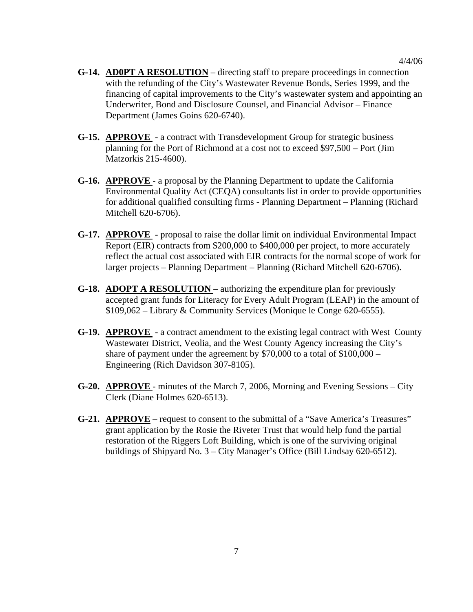- **G-14. AD0PT A RESOLUTION** directing staff to prepare proceedings in connection with the refunding of the City's Wastewater Revenue Bonds, Series 1999, and the financing of capital improvements to the City's wastewater system and appointing an Underwriter, Bond and Disclosure Counsel, and Financial Advisor – Finance Department (James Goins 620-6740).
- **G-15. APPROVE**  a contract with Transdevelopment Group for strategic business planning for the Port of Richmond at a cost not to exceed \$97,500 – Port (Jim Matzorkis 215-4600).
- **G-16. APPROVE**  a proposal by the Planning Department to update the California Environmental Quality Act (CEQA) consultants list in order to provide opportunities for additional qualified consulting firms - Planning Department – Planning (Richard Mitchell 620-6706).
- **G-17. APPROVE**  proposal to raise the dollar limit on individual Environmental Impact Report (EIR) contracts from \$200,000 to \$400,000 per project, to more accurately reflect the actual cost associated with EIR contracts for the normal scope of work for larger projects – Planning Department – Planning (Richard Mitchell 620-6706).
- **G-18. ADOPT A RESOLUTION** authorizing the expenditure plan for previously accepted grant funds for Literacy for Every Adult Program (LEAP) in the amount of \$109,062 – Library & Community Services (Monique le Conge 620-6555).
- **G-19. APPROVE**  a contract amendment to the existing legal contract with West County Wastewater District, Veolia, and the West County Agency increasing the City's share of payment under the agreement by  $$70,000$  to a total of  $$100,000$  – Engineering (Rich Davidson 307-8105).
- **G-20. APPROVE**  minutes of the March 7, 2006, Morning and Evening Sessions City Clerk (Diane Holmes 620-6513).
- **G-21. APPROVE** request to consent to the submittal of a "Save America's Treasures" grant application by the Rosie the Riveter Trust that would help fund the partial restoration of the Riggers Loft Building, which is one of the surviving original buildings of Shipyard No. 3 – City Manager's Office (Bill Lindsay 620-6512).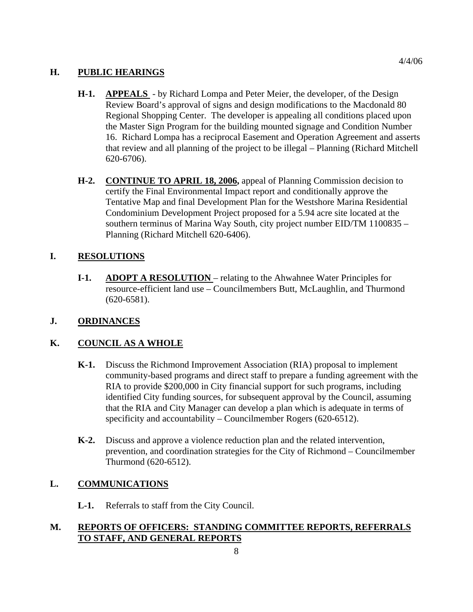### **H. PUBLIC HEARINGS**

- **H-1. APPEALS**  by Richard Lompa and Peter Meier, the developer, of the Design Review Board's approval of signs and design modifications to the Macdonald 80 Regional Shopping Center. The developer is appealing all conditions placed upon the Master Sign Program for the building mounted signage and Condition Number 16. Richard Lompa has a reciprocal Easement and Operation Agreement and asserts that review and all planning of the project to be illegal – Planning (Richard Mitchell 620-6706).
- **H-2. CONTINUE TO APRIL 18, 2006,** appeal of Planning Commission decision to certify the Final Environmental Impact report and conditionally approve the Tentative Map and final Development Plan for the Westshore Marina Residential Condominium Development Project proposed for a 5.94 acre site located at the southern terminus of Marina Way South, city project number EID/TM 1100835 – Planning (Richard Mitchell 620-6406).

## **I. RESOLUTIONS**

**I-1. ADOPT A RESOLUTION** – relating to the Ahwahnee Water Principles for resource-efficient land use – Councilmembers Butt, McLaughlin, and Thurmond (620-6581).

### **J. ORDINANCES**

### **K. COUNCIL AS A WHOLE**

- **K-1.** Discuss the Richmond Improvement Association (RIA) proposal to implement community-based programs and direct staff to prepare a funding agreement with the RIA to provide \$200,000 in City financial support for such programs, including identified City funding sources, for subsequent approval by the Council, assuming that the RIA and City Manager can develop a plan which is adequate in terms of specificity and accountability – Councilmember Rogers (620-6512).
- **K-2.** Discuss and approve a violence reduction plan and the related intervention, prevention, and coordination strategies for the City of Richmond – Councilmember Thurmond (620-6512).

### **L. COMMUNICATIONS**

 **L-1.** Referrals to staff from the City Council.

### **M. REPORTS OF OFFICERS: STANDING COMMITTEE REPORTS, REFERRALS TO STAFF, AND GENERAL REPORTS**